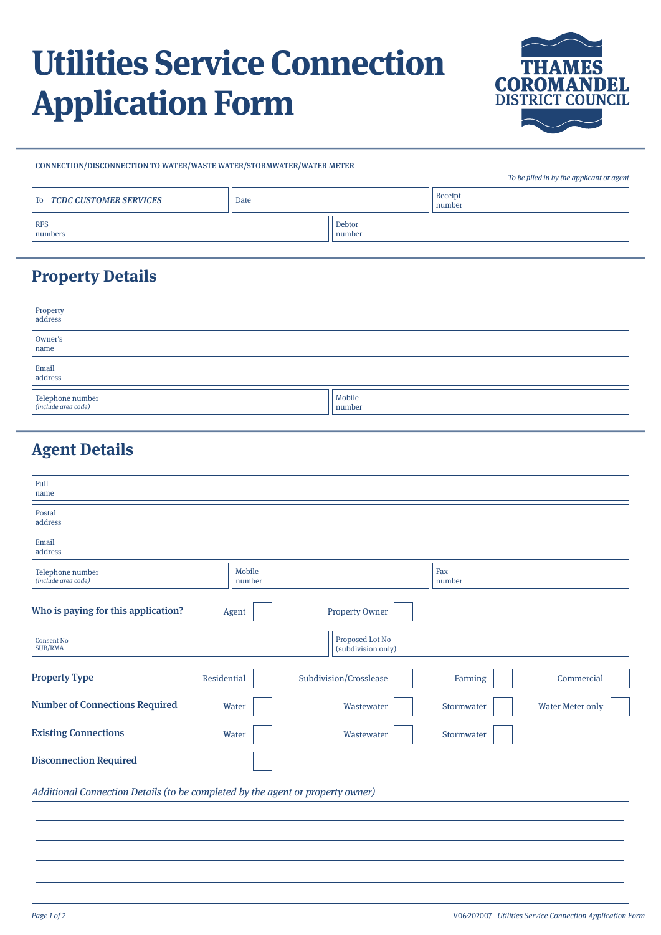# **Utilities Service Connection Application Form**



CONNECTION/DISCONNECTION TO WATER/WASTE WATER/STORMWATER/WATER METER

|                           |      |                  | To be filled in by the applicant or agent |
|---------------------------|------|------------------|-------------------------------------------|
| To TCDC CUSTOMER SERVICES | Date |                  | Receipt<br>number                         |
| <b>RFS</b><br>numbers     |      | Debtor<br>number |                                           |

## **Property Details**

| Property<br>address                     |                  |
|-----------------------------------------|------------------|
| Owner's<br>name                         |                  |
| Email<br>address                        |                  |
| Telephone number<br>(include area code) | Mobile<br>number |

# **Agent Details**

| Full<br>name                                                                   |                  |                                       |               |                         |  |
|--------------------------------------------------------------------------------|------------------|---------------------------------------|---------------|-------------------------|--|
| Postal<br>address                                                              |                  |                                       |               |                         |  |
| Email<br>address                                                               |                  |                                       |               |                         |  |
| Telephone number<br>(include area code)                                        | Mobile<br>number |                                       | Fax<br>number |                         |  |
| Who is paying for this application?                                            | Agent            | <b>Property Owner</b>                 |               |                         |  |
| <b>Consent No</b><br>SUB/RMA                                                   |                  | Proposed Lot No<br>(subdivision only) |               |                         |  |
| <b>Property Type</b>                                                           | Residential      | Subdivision/Crosslease                | Farming       | Commercial              |  |
| <b>Number of Connections Required</b>                                          | Water            | Wastewater                            | Stormwater    | <b>Water Meter only</b> |  |
| <b>Existing Connections</b>                                                    | Water            | Wastewater                            | Stormwater    |                         |  |
| <b>Disconnection Required</b>                                                  |                  |                                       |               |                         |  |
| Additional Connection Details (to be completed by the agent or property owner) |                  |                                       |               |                         |  |
|                                                                                |                  |                                       |               |                         |  |
|                                                                                |                  |                                       |               |                         |  |
|                                                                                |                  |                                       |               |                         |  |